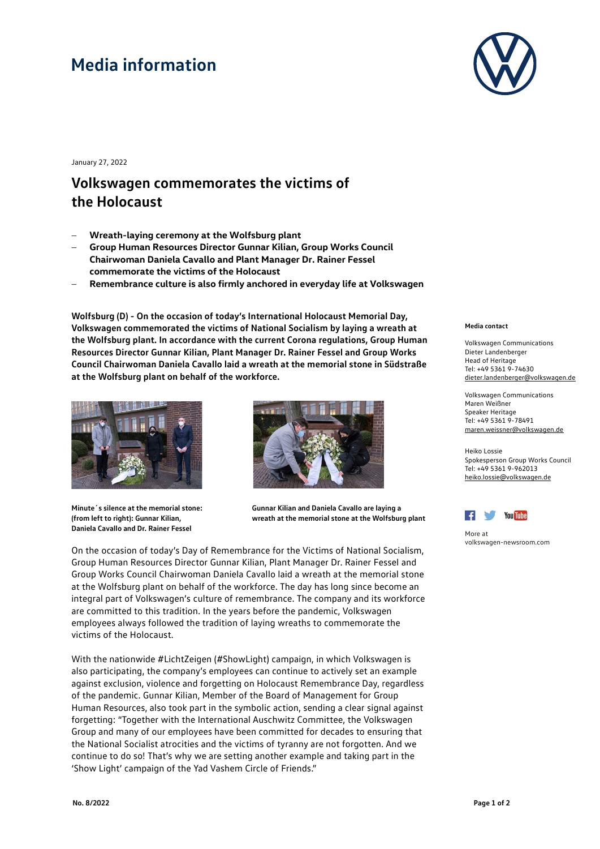## **Media information**



January 27, 2022

## **Volkswagen commemorates the victims of the Holocaust**

- − **Wreath-laying ceremony at the Wolfsburg plant**
- − **Group Human Resources Director Gunnar Kilian, Group Works Council Chairwoman Daniela Cavallo and Plant Manager Dr. Rainer Fessel commemorate the victims of the Holocaust**
- − **Remembrance culture is also firmly anchored in everyday life at Volkswagen**

**Wolfsburg (D) - On the occasion of today's International Holocaust Memorial Day, Volkswagen commemorated the victims of National Socialism by laying a wreath at the Wolfsburg plant. In accordance with the current Corona regulations, Group Human Resources Director Gunnar Kilian, Plant Manager Dr. Rainer Fessel and Group Works Council Chairwoman Daniela Cavallo laid a wreath at the memorial stone in Südstraße at the Wolfsburg plant on behalf of the workforce.**



**Minute´s silence at the memorial stone: (from left to right): Gunnar Kilian, Daniela Cavallo and Dr. Rainer Fessel**



**Gunnar Kilian and Daniela Cavallo are laying a wreath at the memorial stone at the Wolfsburg plant**

On the occasion of today's Day of Remembrance for the Victims of National Socialism, Group Human Resources Director Gunnar Kilian, Plant Manager Dr. Rainer Fessel and Group Works Council Chairwoman Daniela Cavallo laid a wreath at the memorial stone at the Wolfsburg plant on behalf of the workforce. The day has long since become an integral part of Volkswagen's culture of remembrance. The company and its workforce are committed to this tradition. In the years before the pandemic, Volkswagen employees always followed the tradition of laying wreaths to commemorate the victims of the Holocaust.

With the nationwide #LichtZeigen (#ShowLight) campaign, in which Volkswagen is also participating, the company's employees can continue to actively set an example against exclusion, violence and forgetting on Holocaust Remembrance Day, regardless of the pandemic. Gunnar Kilian, Member of the Board of Management for Group Human Resources, also took part in the symbolic action, sending a clear signal against forgetting: "Together with the International Auschwitz Committee, the Volkswagen Group and many of our employees have been committed for decades to ensuring that the National Socialist atrocities and the victims of tyranny are not forgotten. And we continue to do so! That's why we are setting another example and taking part in the 'Show Light' campaign of the Yad Vashem Circle of Friends."

## **Media contact**

Volkswagen Communications Dieter Landenberger Head of Heritage Tel: +49 5361 9-74630 [dieter.landenberger@volkswagen.de](mailto:dieter.landenberger@volkswagen.de)

Volkswagen Communications Maren Weißner Speaker Heritage Tel: +49 5361 9-78491 [maren.weissner@volkswagen.de](mailto:maren.weissner@volkswagen.de)

Heiko Lossie Spokesperson Group Works Council Tel: [+49 5361 9-962013](tel:+49-5361-9-962013) heiko.lossie@volkswagen.de



More at [volkswagen-newsroom.com](https://www.volkswagen-media-services.com/)